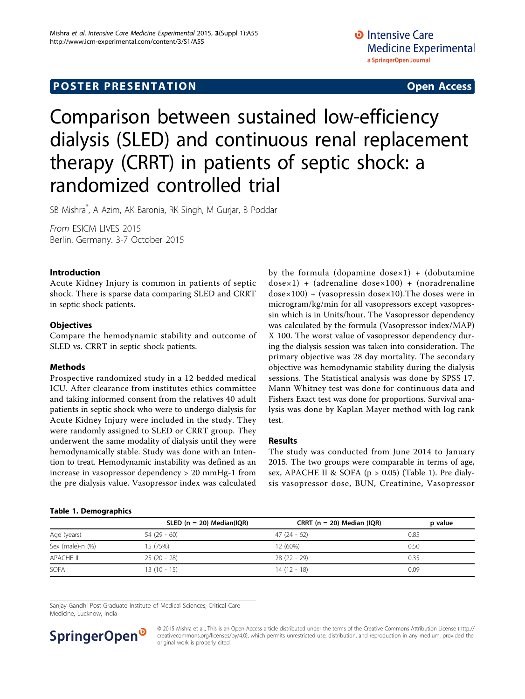# Comparison between sustained low-efficiency dialysis (SLED) and continuous renal replacement therapy (CRRT) in patients of septic shock: a randomized controlled trial

SB Mishra\* , A Azim, AK Baronia, RK Singh, M Gurjar, B Poddar

From ESICM LIVES 2015 Berlin, Germany. 3-7 October 2015

# Introduction

Acute Kidney Injury is common in patients of septic shock. There is sparse data comparing SLED and CRRT in septic shock patients.

# **Objectives**

Compare the hemodynamic stability and outcome of SLED vs. CRRT in septic shock patients.

### Methods

Prospective randomized study in a 12 bedded medical ICU. After clearance from institutes ethics committee and taking informed consent from the relatives 40 adult patients in septic shock who were to undergo dialysis for Acute Kidney Injury were included in the study. They were randomly assigned to SLED or CRRT group. They underwent the same modality of dialysis until they were hemodynamically stable. Study was done with an Intention to treat. Hemodynamic instability was defined as an increase in vasopressor dependency > 20 mmHg-1 from the pre dialysis value. Vasopressor index was calculated

by the formula (dopamine dose $\times$ 1) + (dobutamine  $dosex1$ ) + (adrenaline  $dosex100$ ) + (noradrenaline  $dosex100$  + (vasopressin dosex10). The doses were in microgram/kg/min for all vasopressors except vasopressin which is in Units/hour. The Vasopressor dependency was calculated by the formula (Vasopressor index/MAP) X 100. The worst value of vasopressor dependency during the dialysis session was taken into consideration. The primary objective was 28 day mortality. The secondary objective was hemodynamic stability during the dialysis sessions. The Statistical analysis was done by SPSS 17. Mann Whitney test was done for continuous data and Fishers Exact test was done for proportions. Survival analysis was done by Kaplan Mayer method with log rank test.

### Results

The study was conducted from June 2014 to January 2015. The two groups were comparable in terms of age, sex, APACHE II & SOFA ( $p > 0.05$ ) (Table 1). Pre dialysis vasopressor dose, BUN, Creatinine, Vasopressor

## Table 1. Demographics

|                  | SLED ( $n = 20$ ) Median(IQR) | CRRT ( $n = 20$ ) Median (IQR) | p value |
|------------------|-------------------------------|--------------------------------|---------|
| Age (years)      | 54 (29 - 60)                  | $47(24-62)$                    | 0.85    |
| Sex (male)-n (%) | 15 (75%)                      | 12 (60%)                       | 0.50    |
| APACHE II        | 25 (20 - 28)                  | 28 (22 - 29)                   | 0.35    |
| <b>SOFA</b>      | $13(10 - 15)$                 | 14 (12 - 18)                   | 0.09    |

Sanjay Gandhi Post Graduate Institute of Medical Sciences, Critical Care Medicine, Lucknow, India



© 2015 Mishra et al.; This is an Open Access article distributed under the terms of the Creative Commons Attribution License [\(http://](http://creativecommons.org/licenses/by/4.0) [creativecommons.org/licenses/by/4.0](http://creativecommons.org/licenses/by/4.0)), which permits unrestricted use, distribution, and reproduction in any medium, provided the original work is properly cited.